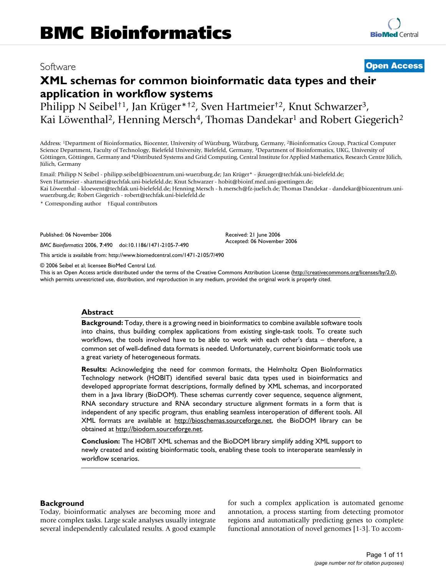# Software **[Open Access](http://www.biomedcentral.com/info/about/charter/)**

# **XML schemas for common bioinformatic data types and their application in workflow systems**

Philipp N Seibel†1, Jan Krüger\*†2, Sven Hartmeier†2, Knut Schwarzer3, Kai Löwenthal<sup>2</sup>, Henning Mersch<sup>4</sup>, Thomas Dandekar<sup>1</sup> and Robert Giegerich<sup>2</sup>

Address: 1Department of Bioinformatics, Biocenter, University of Würzburg, Würzburg, Germany, 2Bioinformatics Group, Practical Computer Science Department, Faculty of Technology, Bielefeld University, Bielefeld, Germany, 3Department of Bioinformatics, UKG, University of Göttingen, Göttingen, Germany and 4Distributed Systems and Grid Computing, Central Institute for Applied Mathematics, Research Centre Jülich, Jülich, Germany

Email: Philipp N Seibel - philipp.seibel@biozentrum.uni-wuerzburg.de; Jan Krüger\* - jkrueger@techfak.uni-bielefeld.de; Sven Hartmeier - shartmei@techfak.uni-bielefeld.de; Knut Schwarzer - hobit@bioinf.med.uni-goettingen.de; Kai Löwenthal - kloewent@techfak.uni-bielefeld.de; Henning Mersch - h.mersch@fz-juelich.de; Thomas Dandekar - dandekar@biozentrum.uniwuerzburg.de; Robert Giegerich - robert@techfak.uni-bielefeld.de

> Received: 21 June 2006 Accepted: 06 November 2006

\* Corresponding author †Equal contributors

Published: 06 November 2006

*BMC Bioinformatics* 2006, **7**:490 doi:10.1186/1471-2105-7-490

[This article is available from: http://www.biomedcentral.com/1471-2105/7/490](http://www.biomedcentral.com/1471-2105/7/490)

© 2006 Seibel et al; licensee BioMed Central Ltd.

This is an Open Access article distributed under the terms of the Creative Commons Attribution License [\(http://creativecommons.org/licenses/by/2.0\)](http://creativecommons.org/licenses/by/2.0), which permits unrestricted use, distribution, and reproduction in any medium, provided the original work is properly cited.

#### **Abstract**

**Background:** Today, there is a growing need in bioinformatics to combine available software tools into chains, thus building complex applications from existing single-task tools. To create such workflows, the tools involved have to be able to work with each other's data – therefore, a common set of well-defined data formats is needed. Unfortunately, current bioinformatic tools use a great variety of heterogeneous formats.

**Results:** Acknowledging the need for common formats, the Helmholtz Open BioInformatics Technology network (HOBIT) identified several basic data types used in bioinformatics and developed appropriate format descriptions, formally defined by XML schemas, and incorporated them in a Java library (BioDOM). These schemas currently cover sequence, sequence alignment, RNA secondary structure and RNA secondary structure alignment formats in a form that is independent of any specific program, thus enabling seamless interoperation of different tools. All XML formats are available at <http://bioschemas.sourceforge.net>, the BioDOM library can be obtained at <http://biodom.sourceforge.net>.

**Conclusion:** The HOBIT XML schemas and the BioDOM library simplify adding XML support to newly created and existing bioinformatic tools, enabling these tools to interoperate seamlessly in workflow scenarios.

### **Background**

Today, bioinformatic analyses are becoming more and more complex tasks. Large scale analyses usually integrate several independently calculated results. A good example for such a complex application is automated genome annotation, a process starting from detecting promotor regions and automatically predicting genes to complete functional annotation of novel genomes [1-3]. To accom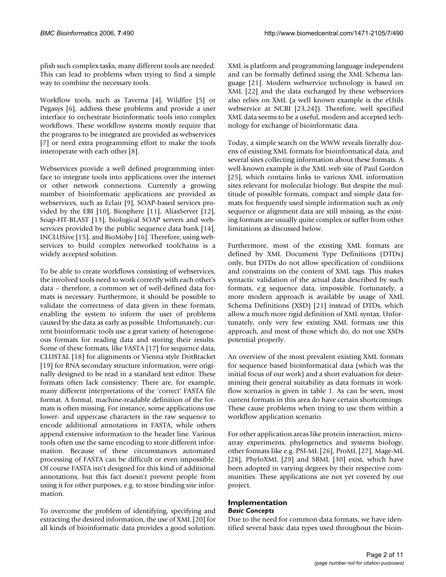plish such complex tasks, many different tools are needed. This can lead to problems when trying to find a simple way to combine the necessary tools.

Workflow tools, such as Taverna [4], Wildfire [5] or Pegasys [6], address these problems and provide a user interface to orchestrate bioinformatic tools into complex workflows. These workflow systems mostly require that the programs to be integrated are provided as webservices [7] or need extra programming effort to make the tools interoperate with each other [8].

Webservices provide a well defined programming interface to integrate tools into applications over the internet or other network connections. Currently a growing number of bioinformatic applications are provided as webservices, such as Eclair [9], SOAP-based services provided by the EBI [10], Biosphere [11], AliasServer [12], Soap-HT-BLAST [13], biological SOAP servers and webservices provided by the public sequence data bank [14], INCLUSive [15], and BioMoby [16]. Therefore, using webservices to build complex networked toolchains is a widely accepted solution.

To be able to create workflows consisting of webservices, the involved tools need to work correctly with each other's data – therefore, a common set of well-defined data formats is necessary. Furthermore, it should be possible to validate the correctness of data given in these formats, enabling the system to inform the user of problems caused by the data as early as possible. Unfortunately, current bioinformatic tools use a great variety of heterogeneous formats for reading data and storing their results. Some of these formats, like FASTA [17] for sequence data, CLUSTAL [18] for alignments or Vienna style DotBracket [19] for RNA secondary structure information, were originally designed to be read in a standard text editor. These formats often lack consistency: There are, for example, many different interpretations of the 'correct' FASTA file format. A formal, machine-readable definition of the formats is often missing. For instance, some applications use lower- and uppercase characters in the raw sequence to encode additional annotations in FASTA, while others append extensive information to the header line. Various tools often use the same encoding to store different information. Because of these circumstances automated processing of FASTA can be difficult or even impossible. Of course FASTA isn't designed for this kind of additional annotations, but this fact doesn't prevent people from using it for other purposes, e.g. to store binding site information.

To overcome the problem of identifying, specifying and extracting the desired information, the use of XML [20] for all kinds of bioinformatic data provides a good solution.

XML is platform and programming language independent and can be formally defined using the XML Schema language [21]. Modern webservice technology is based on XML [22] and the data exchanged by these webservices also relies on XML (a well known example is the eUtils webservice at NCBI [23,24]). Therefore, well specified XML data seems to be a useful, modern and accepted technology for exchange of bioinformatic data.

Today, a simple search on the WWW reveals literally dozens of existing XML formats for bioinformatical data, and several sites collecting information about these formats. A well-known example is the XML web site of Paul Gordon [25], which contains links to various XML information sites relevant for molecular biology. But despite the multitude of possible formats, compact and simple data formats for frequently used simple information such as *only* sequence or alignment data are still missing, as the existing formats are usually quite complex or suffer from other limitations as discussed below.

Furthermore, most of the existing XML formats are defined by XML Document Type Definitions (DTDs) only, but DTDs do not allow specification of conditions and constraints on the content of XML tags. This makes syntactic validation of the actual data described by such formats, e.g sequence data, impossible. Fortunately, a more modern approach is available by usage of XML Schema Definitions (XSD) [21] instead of DTDs, which allow a much more rigid definition of XML syntax. Unfortunately, only very few existing XML formats use this approach, and most of those which do, do not use XSDs potential properly.

An overview of the most prevalent existing XML formats for sequence based bioinformatical data (which was the initial focus of our work) and a short evaluation for determining their general suitability as data formats in workflow scenarios is given in table 1. As can be seen, most current formats in this area do have certain shortcomings. These cause problems when trying to use them within a workflow application scenario.

For other application areas like protein interaction, microarray experiments, phylogenetics and systems biology, other formats like e.g. PSI-ML [26], ProML [27], Mage-ML [28], PhyloXML [29] and SBML [30] exist, which have been adopted in varying degrees by their respective communities. These applications are not yet covered by our project.

#### **Implementation** *Basic Concepts*

Due to the need for common data formats, we have identified several basic data types used throughout the bioin-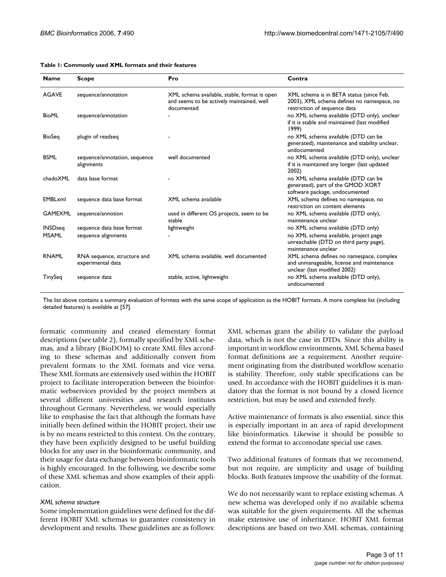| <b>Name</b>    | <b>Scope</b>                                     | Pro                                                                                                     | Contra                                                                                                                 |
|----------------|--------------------------------------------------|---------------------------------------------------------------------------------------------------------|------------------------------------------------------------------------------------------------------------------------|
| <b>AGAVE</b>   | sequence/annotation                              | XML schema available, stable, format is open<br>and seems to be actively maintained, well<br>documented | XML schema is in BETA status (since Feb.<br>2003), XML schema defines no namespace, no<br>restriction of sequence data |
| <b>BioML</b>   | sequence/annotation                              |                                                                                                         | no XML schema available (DTD only), unclear<br>if it is stable and maintained (last modified<br>1999)                  |
| BioSeq         | plugin of readseq                                |                                                                                                         | no XML schema available (DTD can be<br>generated), maintenance and stability unclear,<br>undocumented                  |
| <b>BSML</b>    | sequence/annotation, sequence<br>alignments      | well documented                                                                                         | no XML schema available (DTD only), unclear<br>if it is maintained any longer (last updated<br>2002)                   |
| chadoXML       | data base format                                 |                                                                                                         | no XML schema available (DTD can be<br>generated), part of the GMOD XORT<br>software package, undocumented             |
| EMBLxml        | sequence data base format                        | XML schema available                                                                                    | XML schema defines no namespace, no<br>restriction on content elements                                                 |
| <b>GAMEXML</b> | sequence/annotion                                | used in different OS projects, seem to be<br>stable                                                     | no XML schema available (DTD only),<br>maintenance unclear                                                             |
| <b>INSDseq</b> | sequence data base format                        | lightweight                                                                                             | no XML schema available (DTD only)                                                                                     |
| <b>MSAML</b>   | sequence alignments                              |                                                                                                         | no XML schema available, project page<br>unreachable (DTD on third party page),<br>maintenance unclear                 |
| <b>RNAML</b>   | RNA sequence, structure and<br>experimental data | XML schema available, well documented                                                                   | XML schema defines no namespace, complex<br>and unmanageable, license and maintenance<br>unclear (last modified 2002)  |
| <b>TinySeq</b> | sequence data                                    | stable, active, lightweight                                                                             | no XML schema available (DTD only),<br>undocumented                                                                    |

The list above contains a summary evaluation of formats with the same scope of application as the HOBIT formats. A more complete list (including detailed features) is available at [57].

formatic community and created elementary format descriptions (see table 2), formally specified by XML schemas, and a library (BioDOM) to create XML files according to these schemas and additionally convert from prevalent formats to the XML formats and vice versa. These XML formats are extensively used within the HOBIT project to facilitate interoperation between the bioinformatic webservices provided by the project members at several different universities and research institutes throughout Germany. Nevertheless, we would especially like to emphasise the fact that although the formats have initially been defined within the HOBIT project, their use is by no means restricted to this context. On the contrary, they have been explicitly designed to be useful building blocks for any user in the bioinformatic community, and their usage for data exchange between bioinformatic tools is highly encouraged. In the following, we describe some of these XML schemas and show examples of their application.

#### *XML schema structure*

Some implementation guidelines were defined for the different HOBIT XML schemas to guarantee consistency in development and results. These guidelines are as follows:

XML schemas grant the ability to validate the payload data, which is not the case in DTDs. Since this ability is important in workflow environments, XML Schema based format definitions are a requirement. Another requirement originating from the distributed workflow scenario is stability. Therefore, only stable specifications can be used. In accordance with the HOBIT guidelines it is mandatory that the format is not bound by a closed licence restriction, but may be used and extended freely.

Active maintenance of formats is also essential, since this is especially important in an area of rapid development like bioinformatics. Likewise it should be possible to extend the format to accomodate special use cases.

Two additional features of formats that we recommend, but not require, are simplicity and usage of building blocks. Both features improve the usability of the format.

We do not necessarily want to replace existing schemas. A new schema was developed only if no available schema was suitable for the given requirements. All the schemas make extensive use of inheritance. HOBIT XML format descriptions are based on two XML schemas, containing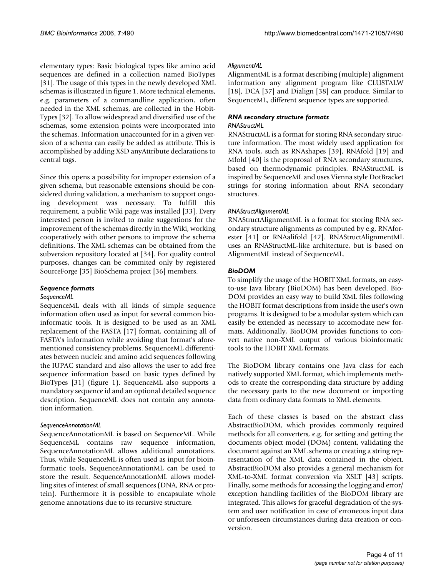elementary types: Basic biological types like amino acid sequences are defined in a collection named BioTypes [31]. The usage of this types in the newly developed XML schemas is illustrated in figure 1. More technical elements, e.g. parameters of a commandline application, often needed in the XML schemas, are collected in the Hobit-Types [32]. To allow widespread and diversified use of the schemas, some extension points were incorporated into the schemas. Information unaccounted for in a given version of a schema can easily be added as attribute. This is accomplished by adding XSD anyAttribute declarations to central tags.

Since this opens a possibility for improper extension of a given schema, but reasonable extensions should be considered during validation, a mechanism to support ongoing development was necessary. To fulfill this requirement, a public Wiki page was installed [33]. Every interested person is invited to make suggestions for the improvement of the schemas directly in the Wiki, working cooperatively with other persons to improve the schema definitions. The XML schemas can be obtained from the subversion repository located at [34]. For quality control purposes, changes can be commited only by registered SourceForge [35] BioSchema project [36] members.

# *Sequence formats*

#### *SequenceML*

SequenceML deals with all kinds of simple sequence information often used as input for several common bioinformatic tools. It is designed to be used as an XML replacement of the FASTA [17] format, containing all of FASTA's information while avoiding that format's aforementioned consistency problems. SequenceML differentiates between nucleic and amino acid sequences following the IUPAC standard and also allows the user to add free sequence information based on basic types defined by BioTypes [31] (figure 1). SequenceML also supports a mandatory sequence id and an optional detailed sequence description. SequenceML does not contain any annotation information.

### *SequenceAnnotationML*

SequenceAnnotationML is based on SequenceML. While SequenceML contains raw sequence information, SequenceAnnotationML allows additional annotations. Thus, while SequenceML is often used as input for bioinformatic tools, SequenceAnnotationML can be used to store the result. SequenceAnnotationML allows modelling sites of interest of small sequences (DNA, RNA or protein). Furthermore it is possible to encapsulate whole genome annotations due to its recursive structure.

#### *AlignmentML*

AlignmentML is a format describing (multiple) alignment information any alignment program like CLUSTALW [18], DCA [37] and Dialign [38] can produce. Similar to SequenceML, different sequence types are supported.

### *RNA secondary structure formats*

#### *RNAStructML*

RNAStructML is a format for storing RNA secondary structure information. The most widely used application for RNA tools, such as RNAshapes [39], RNAfold [19] and Mfold [40] is the proprosal of RNA secondary structures, based on thermodynamic principles. RNAStructML is inspired by SequenceML and uses Vienna style DotBracket strings for storing information about RNA secondary structures.

#### *RNAStructAlignmentML*

RNAStructAlignmentML is a format for storing RNA secondary structure alignments as computed by e.g. RNAforester [41] or RNAalifold [42]. RNAStructAlignmentML uses an RNAStructML-like architecture, but is based on AlignmentML instead of SequenceML.

#### *BioDOM*

To simplify the usage of the HOBIT XML formats, an easyto-use Java library (BioDOM) has been developed. Bio-DOM provides an easy way to build XML files following the HOBIT format descriptions from inside the user's own programs. It is designed to be a modular system which can easily be extended as necessary to accomodate new formats. Additionally, BioDOM provides functions to convert native non-XML output of various bioinformatic tools to the HOBIT XML formats.

The BioDOM library contains one Java class for each natively supported XML format, which implements methods to create the corresponding data structure by adding the necessary parts to the new document or importing data from ordinary data formats to XML elements.

Each of these classes is based on the abstract class AbstractBioDOM, which provides commonly required methods for all converters, e.g. for setting and getting the documents object model (DOM) content, validating the document against an XML schema or creating a string representation of the XML data contained in the object. AbstractBioDOM also provides a general mechanism for XML-to-XML format conversion via XSLT [43] scripts. Finally, some methods for accessing the logging and error/ exception handling facilities of the BioDOM library are integrated. This allows for graceful degradation of the system and user notification in case of erroneous input data or unforeseen circumstances during data creation or conversion.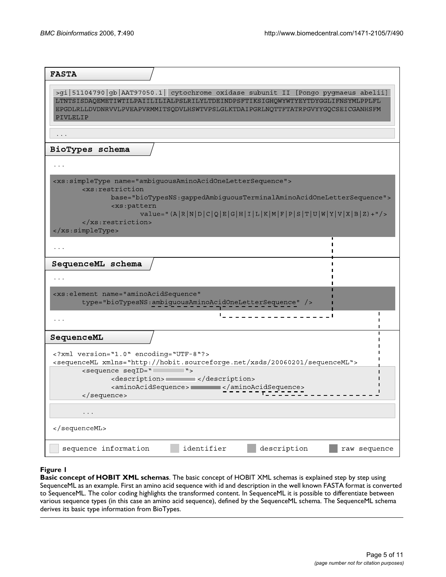| <b>FASTA</b>                                                                                                                                                                                                                                                                    |
|---------------------------------------------------------------------------------------------------------------------------------------------------------------------------------------------------------------------------------------------------------------------------------|
| >gi   51104790   gb   AAT97050.1   cytochrome oxidase subunit II [Pongo pygmaeus abelii]<br>LTNTSISDAQEMETIWTILPAIILILIALPSLRILYLTDEINDPSFTIKSIGHQWYWTYEYTDYGGLIFNSYMLPPLFL<br>EPGDLRLLDVDNRVVLPVEAPVRMMITSQDVLHSWTVPSLGLKTDAIPGRLNQTTFTATRPGVYYGQCSEICGANHSFM<br>PIVLELIP<br>. |
| BioTypes schema                                                                                                                                                                                                                                                                 |
| $\cdots$                                                                                                                                                                                                                                                                        |
| <xs:simpletype name="ambiguousAminoAcidOneLetterSequence"><br/><xs:restriction<br>base="bioTypesNS:gappedAmbiguousTerminalAminoAcidOneLetterSequence"&gt;<br/><xs:pattern< td=""></xs:pattern<></xs:restriction<br></xs:simpletype>                                             |
| $value = " (A   R   N   D   C   Q   E   G   H   I   L   K   M   F   P   S   T   U   W   Y   V   X   B   Z) + */$<br>$\langle x \rangle$ xs: restriction><br>                                                                                                                    |
|                                                                                                                                                                                                                                                                                 |
| SequenceML schema                                                                                                                                                                                                                                                               |
|                                                                                                                                                                                                                                                                                 |
| <xs:element <br="" name="aminoAcidSequence">type="bioTypesNS:ambiguousAminoAcidOneLetterSequence" /&gt;</xs:element>                                                                                                                                                            |
| $\cdots$                                                                                                                                                                                                                                                                        |
| SequenceML                                                                                                                                                                                                                                                                      |
| xml version="1.0" encoding="UTF-8"?<br><sequenceml xmlns="http://hobit.sourceforge.net/xsds/20060201/sequenceML"><br/>&lt;sequence seqID="&lt;br&gt;<math>\mathbb{Z}^n</math><br/><description> </description><br/><aminoacidsequence> </aminoacidsequence><br/></sequenceml>   |
| .                                                                                                                                                                                                                                                                               |
|                                                                                                                                                                                                                                                                                 |
| identifier<br>sequence information<br>description<br>raw sequence                                                                                                                                                                                                               |

## **Figure 1**

**Basic concept of HOBIT XML schemas**. The basic concept of HOBIT XML schemas is explained step by step using SequenceML as an example. First an amino acid sequence with id and description in the well known FASTA format is converted to SequenceML. The color coding highlights the transformed content. In SequenceML it is possible to differentiate between various sequence types (in this case an amino acid sequence), defined by the SequenceML schema. The SequenceML schema derives its basic type information from BioTypes.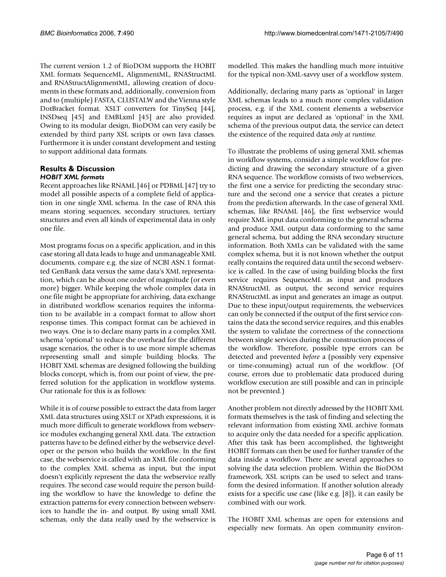The current version 1.2 of BioDOM supports the HOBIT XML formats SequenceML, AlignmentML, RNAStructML and RNAStructAlignmentML, allowing creation of documents in these formats and, additionally, conversion from and to (multiple) FASTA, CLUSTALW and the Vienna style DotBracket format. XSLT converters for TinySeq [44], INSDseq [45] and EMBLxml [45] are also provided. Owing to its modular design, BioDOM can very easily be extended by third party XSL scripts or own Java classes. Furthermore it is under constant development and testing to support additional data formats.

#### **Results & Discussion** *HOBIT XML formats*

Recent approaches like RNAML [46] or PDBML [47] try to model all possible aspects of a complete field of application in one single XML schema. In the case of RNA this means storing sequences, secondary structures, tertiary structures and even all kinds of experimental data in only one file.

Most programs focus on a specific application, and in this case storing all data leads to huge and unmanageable XML documents, compare e.g. the size of NCBI ASN.1 formatted GenBank data versus the same data's XML representation, which can be about one order of magnitude (or even more) bigger. While keeping the whole complex data in one file might be appropriate for archiving, data exchange in distributed workflow scenarios requires the information to be available in a compact format to allow short response times. This compact format can be achieved in two ways. One is to declare many parts in a complex XML schema 'optional' to reduce the overhead for the different usage scenarios, the other is to use more simple schemas representing small and simple building blocks. The HOBIT XML schemas are designed following the building blocks concept, which is, from our point of view, the preferred solution for the application in workflow systems. Our rationale for this is as follows:

While it is of course possible to extract the data from larger XML data structures using XSLT or XPath expressions, it is much more difficult to generate workflows from webservice modules exchanging general XML data. The extraction patterns have to be defined either by the webservice developer or the person who builds the workflow. In the first case, the webservice is called with an XML file conforming to the complex XML schema as input, but the input doesn't explicitly represent the data the webservice really requires. The second case would require the person building the workflow to have the knowledge to define the extraction patterns for every connection between webservices to handle the in- and output. By using small XML schemas, only the data really used by the webservice is modelled. This makes the handling much more intuitive for the typical non-XML-savvy user of a workflow system.

Additionally, declaring many parts as 'optional' in larger XML schemas leads to a much more complex validation process, e.g. if the XML content elements a webservice requires as input are declared as 'optional' in the XML schema of the previous output data, the service can detect the existence of the required data *only at runtime*.

To illustrate the problems of using general XML schemas in workflow systems, consider a simple workflow for predicting and drawing the secondary structure of a given RNA sequence. The workflow consists of two webservices, the first one a service for predicting the secondary structure and the second one a service that creates a picture from the prediction afterwards. In the case of general XML schemas, like RNAML [46], the first webservice would require XML input data conforming to the general schema and produce XML output data conforming to the same general schema, but adding the RNA secondary structure information. Both XMLs can be validated with the same complex schema, but it is not known whether the output really contains the required data until the second webservice is called. In the case of using building blocks the first service requires SequenceML as input and produces RNAStructML as output, the second service requires RNAStructML as input and generates an image as output. Due to these input/output requirements, the webservices can only be connected if the output of the first service contains the data the second service requires, and this enables the system to validate the correctness of the connections between single services during the construction process of the workflow. Therefore, possible type errors can be detected and prevented *before* a (possibly very expensive or time-consuming) actual run of the workflow. (Of course, errors due to problematic data produced during workflow execution are still possible and can in principle not be prevented.)

Another problem not directly adressed by the HOBIT XML formats themselves is the task of finding and selecting the relevant information from existing XML archive formats to acquire only the data needed for a specific application. After this task has been accomplished, the lightweight HOBIT formats can then be used for further transfer of the data inside a workflow. There are several approaches to solving the data selection problem. Within the BioDOM framework, XSL scripts can be used to select and transform the desired information. If another solution already exists for a specific use case (like e.g. [8]), it can easily be combined with our work.

The HOBIT XML schemas are open for extensions and especially new formats. An open community environ-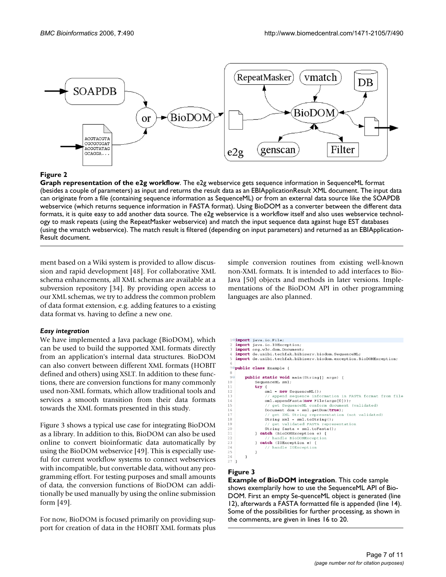

## Figure 2

**Graph representation of the e2g workflow**. The e2g webservice gets sequence information in SequenceML format (besides a couple of parameters) as input and returns the result data as an EBIApplicationResult XML document. The input data can originate from a file (containing sequence information as SequenceML) or from an external data source like the SOAPDB webservice (which returns sequence information in FASTA format). Using BioDOM as a converter between the different data formats, it is quite easy to add another data source. The e2g webservice is a workflow itself and also uses webservice technology to mask repeats (using the RepeatMasker webservice) and match the input sequence data against huge EST databases (using the vmatch webservice). The match result is filtered (depending on input parameters) and returned as an EBIApplication-Result document.

ment based on a Wiki system is provided to allow discussion and rapid development [48]. For collaborative XML schema enhancements, all XML schemas are available at a subversion repository [34]. By providing open access to our XML schemas, we try to address the common problem of data format extension, e.g. adding features to a existing data format vs. having to define a new one.

### *Easy integration*

We have implemented a Java package (BioDOM), which can be used to build the supported XML formats directly from an application's internal data structures. BioDOM can also convert between different XML formats (HOBIT defined and others) using XSLT. In addition to these functions, there are conversion functions for many commonly used non-XML formats, which allow traditional tools and services a smooth transition from their data formats towards the XML formats presented in this study.

Figure 3 shows a typical use case for integrating BioDOM as a library. In addition to this, BioDOM can also be used online to convert bioinformatic data automatically by using the BioDOM webservice [49]. This is especially useful for current workflow systems to connect webservices with incompatible, but convertable data, without any programming effort. For testing purposes and small amounts of data, the conversion functions of BioDOM can additionally be used manually by using the online submission form [49].

For now, BioDOM is focused primarily on providing support for creation of data in the HOBIT XML formats plus simple conversion routines from existing well-known non-XML formats. It is intended to add interfaces to Bio-Java [50] objects and methods in later versions. Implementations of the BioDOM API in other programming languages are also planned.

```
1<sup>e</sup>import java.io.File;
     import java.io.IOException;
     import org.w3c.dom.Document;<br>import de.unibi.techfak.bibiserv.biodom.SequenceML;
     import de.unibi.techfak.bibiserv.biodom.exception.BioDOMException;
  78 public class Example {
            public static void main (String[] args) {
                   SequenceML sml;
10\begin{array}{c} 11 \\ 12 \end{array}try {
                         sm1 = new SequenceML();
\begin{array}{c} 13 \\ 14 \end{array}// append sequence information in FASTA format from file<br>sml.appendFasta(new File(args[0]));
15<br>16<br>17// get SequenceML conform docume<br>Document dom = sml.getDom(true);
                                                                             ent (validated)
                         // get XML String representation (not validated)<br>String xml = sml.toString();
 \frac{1}{18}15get validated FASTA representation
\begin{array}{c} 20 \\ 21 \end{array}String fasta = sm1.toFast(a);
                  } catch (BioDOMException e) {
                  // handle BioDOMException<br>} catch (IOException e) {
\begin{array}{c} 22 \\ 23 \end{array}24// handle IOException
\begin{bmatrix} 24 \\ 25 \\ 26 \\ 27 \end{bmatrix}\}
```
# **Figure 3**

**Example of BioDOM integration**. This code sample shows exemplarily how to use the SequenceML API of Bio-DOM. First an empty Se-quenceML object is generated (line 12), afterwards a FASTA formatted file is appended (line 14). Some of the possibilities for further processing, as shown in the comments, are given in lines 16 to 20.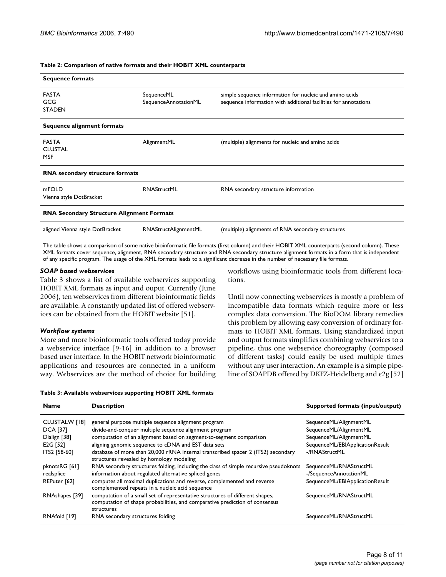| Table 2: Comparison of native formats and their HOBIT XML counterparts |  |  |
|------------------------------------------------------------------------|--|--|
|------------------------------------------------------------------------|--|--|

| <b>Sequence formats</b>                          |                                    |                                                                                                                            |  |
|--------------------------------------------------|------------------------------------|----------------------------------------------------------------------------------------------------------------------------|--|
| <b>FASTA</b><br>GCG<br><b>STADEN</b>             | SequenceML<br>SequenceAnnotationML | simple sequence information for nucleic and amino acids<br>sequence information with additional facilities for annotations |  |
| Sequence alignment formats                       |                                    |                                                                                                                            |  |
| <b>FASTA</b><br><b>CLUSTAL</b><br><b>MSF</b>     | AlignmentML                        | (multiple) alignments for nucleic and amino acids                                                                          |  |
| <b>RNA</b> secondary structure formats           |                                    |                                                                                                                            |  |
| mFOLD<br>Vienna style DotBracket                 | <b>RNAStructML</b>                 | RNA secondary structure information                                                                                        |  |
| <b>RNA Secondary Structure Alignment Formats</b> |                                    |                                                                                                                            |  |
| aligned Vienna style DotBracket                  | <b>RNAStructAlignmentML</b>        | (multiple) alignments of RNA secondary structures                                                                          |  |

The table shows a comparison of some native bioinformatic file formats (first column) and their HOBIT XML counterparts (second column). These XML formats cover sequence, alignment, RNA secondary structure and RNA secondary structure alignment formats in a form that is independent of any specific program. The usage of the XML formats leads to a significant decrease in the number of necessary file formats.

#### *SOAP based webservices*

Table 3 shows a list of available webservices supporting HOBIT XML formats as input and ouput. Currently (June 2006), ten webservices from different bioinformatic fields are available. A constantly updated list of offered webservices can be obtained from the HOBIT website [51].

#### *Workflow systems*

More and more bioinformatic tools offered today provide a webservice interface [9-16] in addition to a browser based user interface. In the HOBIT network bioinformatic applications and resources are connected in a uniform way. Webservices are the method of choice for building workflows using bioinformatic tools from different locations.

Until now connecting webservices is mostly a problem of incompatible data formats which require more or less complex data conversion. The BioDOM library remedies this problem by allowing easy conversion of ordinary formats to HOBIT XML formats. Using standardized input and output formats simplifies combining webservices to a pipeline, thus one webservice choreography (composed of different tasks) could easily be used multiple times without any user interaction. An example is a simple pipeline of SOAPDB offered by DKFZ-Heidelberg and e2g [52]

#### **Table 3: Available webservices supporting HOBIT XML formats**

| <b>Name</b>           | <b>Description</b>                                                                                                                                                        | Supported formats (input/output) |
|-----------------------|---------------------------------------------------------------------------------------------------------------------------------------------------------------------------|----------------------------------|
| CLUSTALW [18]         | general purpose multiple sequence alignment program                                                                                                                       | SequenceML/AlignmentML           |
| <b>DCA</b> [37]       | divide-and-conquer multiple sequence alignment program                                                                                                                    | SequenceML/AlignmentML           |
| Dialign [38]          | computation of an alignment based on segment-to-segment comparison                                                                                                        | SequenceML/AlignmentML           |
| E <sub>2</sub> G [52] | aligning genomic sequence to cDNA and EST data sets                                                                                                                       | SequenceML/EBIApplicationResult  |
| ITS2 [58-60]          | database of more than 20,000 rRNA internal transcribed spacer 2 (ITS2) secondary<br>structures revealed by homology modeling                                              | -/RNAStructML                    |
| pknotsRG [61]         | RNA secondary structures folding, including the class of simple recursive pseudoknots                                                                                     | SequenceML/RNAStructML           |
| realsplice            | information about regulated alternative spliced genes                                                                                                                     | -/SequenceAnnotationML           |
| REPuter [62]          | computes all maximal duplications and reverse, complemented and reverse<br>complemented repeats in a nucleic acid sequence                                                | SequenceML/EBIApplicationResult  |
| RNAshapes [39]        | computation of a small set of representative structures of different shapes,<br>computation of shape probabilities, and comparative prediction of consensus<br>structures | SequenceML/RNAStructML           |
| RNAfold [19]          | RNA secondary structures folding                                                                                                                                          | SequenceML/RNAStructML           |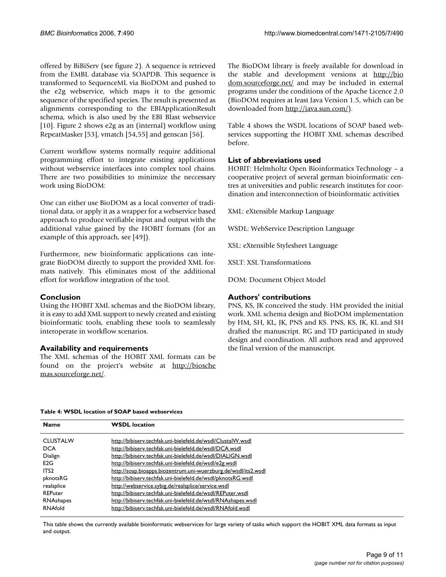offered by BiBiServ (see figure 2). A sequence is retrieved from the EMBL database via SOAPDB. This sequence is transformed to SequenceML via BioDOM and pushed to the e2g webservice, which maps it to the genomic sequence of the specified species. The result is presented as alignments corresponding to the EBIApplicationResult schema, which is also used by the EBI Blast webservice [10]. Figure 2 shows e2g as an (internal) workflow using RepeatMasker [53], vmatch [54,55] and genscan [56].

Current workflow systems normally require additional programming effort to integrate existing applications without webservice interfaces into complex tool chains. There are two possibilities to minimize the neccessary work using BioDOM:

One can either use BioDOM as a local converter of traditional data, or apply it as a wrapper for a webservice based approach to produce verifiable input and output with the additional value gained by the HOBIT formats (for an example of this approach, see [49]).

Furthermore, new bioinformatic applications can integrate BioDOM directly to support the provided XML formats natively. This eliminates most of the additional effort for workflow integration of the tool.

#### **Conclusion**

Using the HOBIT XML schemas and the BioDOM library, it is easy to add XML support to newly created and existing bioinformatic tools, enabling these tools to seamlessly interoperate in workflow scenarios.

### **Availability and requirements**

The XML schemas of the HOBIT XML formats can be found on the project's website at [http://biosche](http://bioschemas.sourceforge.net/) [mas.sourceforge.net/.](http://bioschemas.sourceforge.net/)

The BioDOM library is freely available for download in the stable and development versions at [http://bio](http://biodom.sourceforge.net/) [dom.sourceforge.net/](http://biodom.sourceforge.net/) and may be included in external programs under the conditions of the Apache Licence 2.0 (BioDOM requires at least Java Version 1.5, which can be downloaded from <http://java.sun.com/>).

Table 4 shows the WSDL locations of SOAP based webservices supporting the HOBIT XML schemas described before.

#### **List of abbreviations used**

HOBIT: Helmholtz Open Bioinformatics Technology – a cooperative project of several german bioinformatic centres at universities and public research institutes for coordination and interconnection of bioinformatic activities

XML: eXtensible Markup Language

WSDL: WebService Description Language

XSL: eXtensible Stylesheet Language

XSLT: XSL Transformations

DOM: Document Object Model

### **Authors' contributions**

PNS, KS, JK conceived the study. HM provided the initial work. XML schema design and BioDOM implementation by HM, SH, KL, JK, PNS and KS. PNS, KS, JK, KL and SH drafted the manuscript. RG and TD participated in study design and coordination. All authors read and approved the final version of the manuscript.

#### **Table 4: WSDL location of SOAP based webservices**

**Name WSDL location**

| .                | , , , , , , , , , , , , , , , ,                                |
|------------------|----------------------------------------------------------------|
| <b>CLUSTALW</b>  | http://bibiserv.techfak.uni-bielefeld.de/wsdl/ClustalW.wsdl    |
| <b>DCA</b>       | http://bibiserv.techfak.uni-bielefeld.de/wsdl/DCA.wsdl         |
| Dialign          | http://bibiserv.techfak.uni-bielefeld.de/wsdl/DIALIGN.wsdl     |
| E2G              | http://bibiserv.techfak.uni-bielefeld.de/wsdl/e2g.wsdl         |
| ITS <sub>2</sub> | http://soap.bioapps.biozentrum.uni-wuerzburg.de/wsdl/its2.wsdl |
| pknotsRG         | http://bibiserv.techfak.uni-bielefeld.de/wsdl/pknotsRG.wsdl    |
| realsplice       | http://webservice.sybig.de/realsplice/service.wsdl             |
| <b>REPuter</b>   | http://bibiserv.techfak.uni-bielefeld.de/wsdl/REPuter.wsdl     |
| RNAshapes        | http://bibiserv.techfak.uni-bielefeld.de/wsdl/RNAshapes.wsdl   |
| <b>RNAfold</b>   | http://bibiserv.techfak.uni-bielefeld.de/wsdl/RNAfold.wsdl     |
|                  |                                                                |

This table shows the currently available bioinformatic webservices for large variety of tasks which support the HOBIT XML data formats as input and output.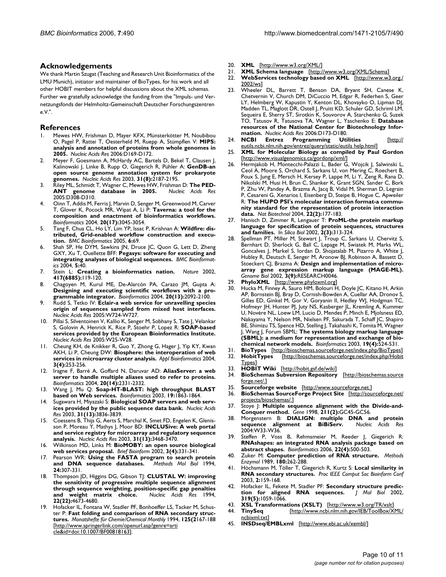#### **Acknowledgements**

We thank Martin Szugat (Teaching and Research Unit Bioinformatics of the LMU Munich), initiator and maintainer of BioTypes, for his work and all other HOBIT members for helpful discussions about the XML schemas. Further we gratefully acknowledge the funding from the "Impuls- und Vernetzungsfonds der Helmholtz-Gemeinschaft Deutscher Forschungszentren e.V.".

#### **References**

- 1. Mewes HW, Frishman D, Mayer KFX, Münsterkötter M, Noubibou O, Pagel P, Rattei T, Oesterheld M, Ruepp A, Stümpflen V: **[MIPS:](http://www.ncbi.nlm.nih.gov/entrez/query.fcgi?cmd=Retrieve&db=PubMed&dopt=Abstract&list_uids=16381839) [analysis and annotation of proteins from whole genomes in](http://www.ncbi.nlm.nih.gov/entrez/query.fcgi?cmd=Retrieve&db=PubMed&dopt=Abstract&list_uids=16381839) [2005.](http://www.ncbi.nlm.nih.gov/entrez/query.fcgi?cmd=Retrieve&db=PubMed&dopt=Abstract&list_uids=16381839)** *Nucleic Acids Res* 2006:D169-D172.
- Meyer F, Goesmann A, McHardy AC, Bartels D, Bekel T, Clausen J, Kalinowski J, Linke B, Rupp O, Giegerich R, Pühler A: **[GenDB-an](http://www.ncbi.nlm.nih.gov/entrez/query.fcgi?cmd=Retrieve&db=PubMed&dopt=Abstract&list_uids=12682369) [open source genome annotation system for prokaryote](http://www.ncbi.nlm.nih.gov/entrez/query.fcgi?cmd=Retrieve&db=PubMed&dopt=Abstract&list_uids=12682369) [genomes.](http://www.ncbi.nlm.nih.gov/entrez/query.fcgi?cmd=Retrieve&db=PubMed&dopt=Abstract&list_uids=12682369)** *Nucleic Acids Res* 2003, **31(8):**2187-2195.
- 3. Riley ML, Schmidt T, Wagner C, Mewes HW, Frishman D: **[The PED-](http://www.ncbi.nlm.nih.gov/entrez/query.fcgi?cmd=Retrieve&db=PubMed&dopt=Abstract&list_uids=15608204)ANT** genome database in 2005. 2005:D308-D310.
- 4. Oinn T, Addis M, Ferris J, Marvin D, Senger M, Greenwood M, Carver T, Glover K, Pocock MR, Wipat A, Li P: **[Taverna: a tool for the](http://www.ncbi.nlm.nih.gov/entrez/query.fcgi?cmd=Retrieve&db=PubMed&dopt=Abstract&list_uids=15201187) [composition and enactment of bioinformatics workflows.](http://www.ncbi.nlm.nih.gov/entrez/query.fcgi?cmd=Retrieve&db=PubMed&dopt=Abstract&list_uids=15201187)** *Bioinformatics* 2004, **20(17):**3045-3054.
- 5. Tang F, Chua CL, Ho LY, Lim YP, Issac P, Krishnan A: **[Wildfire: dis](http://www.ncbi.nlm.nih.gov/entrez/query.fcgi?cmd=Retrieve&db=PubMed&dopt=Abstract&list_uids=15788106)[tributed, Grid-enabled workflow construction and execu](http://www.ncbi.nlm.nih.gov/entrez/query.fcgi?cmd=Retrieve&db=PubMed&dopt=Abstract&list_uids=15788106)[tion.](http://www.ncbi.nlm.nih.gov/entrez/query.fcgi?cmd=Retrieve&db=PubMed&dopt=Abstract&list_uids=15788106)** *BMC Bioinformatics* 2005, **6:**69.
- 6. Shah SP, He DYM, Sawkins JN, Druce JC, Quon G, Lett D, Zheng GXY, Xu T, Ouellette BFF: **[Pegasys: software for executing and](http://www.ncbi.nlm.nih.gov/entrez/query.fcgi?cmd=Retrieve&db=PubMed&dopt=Abstract&list_uids=15096276) [integrating analyses of biological sequences.](http://www.ncbi.nlm.nih.gov/entrez/query.fcgi?cmd=Retrieve&db=PubMed&dopt=Abstract&list_uids=15096276)** *BMC Bioinformatics* 2004, **5:**40.
- 7. Stein L: **[Creating a bioinformatics nation.](http://www.ncbi.nlm.nih.gov/entrez/query.fcgi?cmd=Retrieve&db=PubMed&dopt=Abstract&list_uids=12000935)** *Nature* 2002, **417(6885):**119-120.
- 8. Chagoyen M, Kurul ME, De-Alarcón PA, Carazo JM, Gupta A: **[Designing and executing scientific workflows with a pro](http://www.ncbi.nlm.nih.gov/entrez/query.fcgi?cmd=Retrieve&db=PubMed&dopt=Abstract&list_uids=15059834)[grammable integrator.](http://www.ncbi.nlm.nih.gov/entrez/query.fcgi?cmd=Retrieve&db=PubMed&dopt=Abstract&list_uids=15059834)** *Bioinformatics* 2004, **20(13):**2092-2100.
- 9. Rudd S, Tetko IV: **[Eclair-a web service for unravelling species](http://www.ncbi.nlm.nih.gov/entrez/query.fcgi?cmd=Retrieve&db=PubMed&dopt=Abstract&list_uids=15980572) [origin of sequences sampled from mixed host interfaces.](http://www.ncbi.nlm.nih.gov/entrez/query.fcgi?cmd=Retrieve&db=PubMed&dopt=Abstract&list_uids=15980572)** *Nucleic Acids Res* 2005:W724-W727.
- 10. Pillai S, Silventoinen V, Kallio K, Senger M, Sobhany S, Tate J, Velankar S, Golovin A, Henrick K, Rice P, Stoehr P, Lopez R: **[SOAP-based](http://www.ncbi.nlm.nih.gov/entrez/query.fcgi?cmd=Retrieve&db=PubMed&dopt=Abstract&list_uids=15980463) [services provided by the European Bioinformatics Institute.](http://www.ncbi.nlm.nih.gov/entrez/query.fcgi?cmd=Retrieve&db=PubMed&dopt=Abstract&list_uids=15980463)** *Nucleic Acids Res* 2005:W25-W28.
- 11. Cheung KH, de Knikker R, Guo Y, Zhong G, Hager J, Yip KY, Kwan AKH, Li P, Cheung DW: **[Biosphere: the interoperation of web](http://www.ncbi.nlm.nih.gov/entrez/query.fcgi?cmd=Retrieve&db=PubMed&dopt=Abstract&list_uids=15702956) [services in microarray cluster analysis.](http://www.ncbi.nlm.nih.gov/entrez/query.fcgi?cmd=Retrieve&db=PubMed&dopt=Abstract&list_uids=15702956)** *Appl Bioinformatics* 2004, **3(4):**253-256.
- 12. Iragne F, Barré A, Goffard N, Daruvar AD: **[AliasServer: a web](http://www.ncbi.nlm.nih.gov/entrez/query.fcgi?cmd=Retrieve&db=PubMed&dopt=Abstract&list_uids=15059813) [server to handle multiple aliases used to refer to proteins.](http://www.ncbi.nlm.nih.gov/entrez/query.fcgi?cmd=Retrieve&db=PubMed&dopt=Abstract&list_uids=15059813)** *Bioinformatics* 2004, **20(14):**2331-2332.
- 13. Wang J, Mu Q: **[Soap-HT-BLAST: high throughput BLAST](http://www.ncbi.nlm.nih.gov/entrez/query.fcgi?cmd=Retrieve&db=PubMed&dopt=Abstract&list_uids=14512365) [based on Web services.](http://www.ncbi.nlm.nih.gov/entrez/query.fcgi?cmd=Retrieve&db=PubMed&dopt=Abstract&list_uids=14512365)** *Bioinformatics* 2003, **19:**1863-1864.
- 14. Sugawara H, Miyazaki S: **[Biological SOAP servers and web serv](http://www.ncbi.nlm.nih.gov/entrez/query.fcgi?cmd=Retrieve&db=PubMed&dopt=Abstract&list_uids=12824432)[ices provided by the public sequence data bank.](http://www.ncbi.nlm.nih.gov/entrez/query.fcgi?cmd=Retrieve&db=PubMed&dopt=Abstract&list_uids=12824432)** *Nucleic Acids Res* 2003, **31(13):**3836-3839.
- 15. Coessens B, Thijs G, Aerts S, Marchal K, Smet FD, Engelen K, Glenisson P, Moreau Y, Mathys J, Moor BD: **[INCLUSive: A web portal](http://www.ncbi.nlm.nih.gov/entrez/query.fcgi?cmd=Retrieve&db=PubMed&dopt=Abstract&list_uids=12824346) [and service registry for microarray and regulatory sequence](http://www.ncbi.nlm.nih.gov/entrez/query.fcgi?cmd=Retrieve&db=PubMed&dopt=Abstract&list_uids=12824346) [analysis.](http://www.ncbi.nlm.nih.gov/entrez/query.fcgi?cmd=Retrieve&db=PubMed&dopt=Abstract&list_uids=12824346)** *Nucleic Acids Res* 2003, **31(13):**3468-3470.
- 16. Wilkinson MD, Links M: **[BioMOBY: an open source biological](http://www.ncbi.nlm.nih.gov/entrez/query.fcgi?cmd=Retrieve&db=PubMed&dopt=Abstract&list_uids=12511062) [web services proposal.](http://www.ncbi.nlm.nih.gov/entrez/query.fcgi?cmd=Retrieve&db=PubMed&dopt=Abstract&list_uids=12511062)** *Brief Bioinform* 2002, **3(4):**331-341.
- 17. Pearson WR: **[Using the FASTA program to search protein](http://www.ncbi.nlm.nih.gov/entrez/query.fcgi?cmd=Retrieve&db=PubMed&dopt=Abstract&list_uids=8205202) [and DNA sequence databases.](http://www.ncbi.nlm.nih.gov/entrez/query.fcgi?cmd=Retrieve&db=PubMed&dopt=Abstract&list_uids=8205202)** *Methods Mol Biol* 1994, and **DNA** sequence databases.<br>**24:**307-331.
- 18. Thompson JD, Higgins DG, Gibson TJ: **[CLUSTAL W: improving](http://www.ncbi.nlm.nih.gov/entrez/query.fcgi?cmd=Retrieve&db=PubMed&dopt=Abstract&list_uids=7984417) [the sensitivity of progressive multiple sequence alignment](http://www.ncbi.nlm.nih.gov/entrez/query.fcgi?cmd=Retrieve&db=PubMed&dopt=Abstract&list_uids=7984417) through sequence weighting, position-specific gap penalties** [and weight matrix choice.](http://www.ncbi.nlm.nih.gov/entrez/query.fcgi?cmd=Retrieve&db=PubMed&dopt=Abstract&list_uids=7984417) **22(22):**4673-4680.
- Hofacker IL, Fontana W, Stadler PF, Bonhoeffer LS, Tacker M, Schuster P: **Fast folding and comparison of RNA secondary structures.** *Monatshefte für Chemie/Chemical Monthly* 1994, **125(2**167-188 [[http://www.springerlink.com/openurl.asp?genre=arti](http://www.springerlink.com/openurl.asp?genre=article&id=doi:10.1007/BF00818163) [cle&id=doi:10.1007/BF00818163\]](http://www.springerlink.com/openurl.asp?genre=article&id=doi:10.1007/BF00818163).
- 20. **XML** [<http://www.w3.org/XML/>]
- 21. **XML Schema language** [\[http://www.w3.org/XML/Schema](http://www.w3.org/XML/Schema)]
- 22. **WebServices technology based on XML** [[http://www.w3.org./](http://www.w3.org./2002/ws) [2002/ws](http://www.w3.org./2002/ws)]
- 23. Wheeler DL, Barrett T, Benson DA, Bryant SH, Canese K, Chetvernin V, Church DM, DiCuccio M, Edgar R, Federhen S, Geer LY, Helmberg W, Kapustin Y, Kenton DL, Khovayko O, Lipman DJ, Madden TL, Maglott DR, Ostell J, Pruitt KD, Schuler GD, Schriml LM, Sequeira E, Sherry ST, Sirotkin K, Souvorov A, Starchenko G, Suzek TO, Tatusov R, Tatusova TA, Wagner L, Yaschenko E: **[Database](http://www.ncbi.nlm.nih.gov/entrez/query.fcgi?cmd=Retrieve&db=PubMed&dopt=Abstract&list_uids=16381840) [resources of the National Center for Biotechnology Infor](http://www.ncbi.nlm.nih.gov/entrez/query.fcgi?cmd=Retrieve&db=PubMed&dopt=Abstract&list_uids=16381840)[mation.](http://www.ncbi.nlm.nih.gov/entrez/query.fcgi?cmd=Retrieve&db=PubMed&dopt=Abstract&list_uids=16381840)** *Nucleic Acids Res* 2006:D173-D180.
- 24. **NCBI Entrez Programming Utilities** [\[http://](http://eutils.ncbi.nlm.nih.gov/entrez/query/static/eutils help.html) [eutils.ncbi.nlm.nih.gov/entrez/query/static/eutils help.html\]](http://eutils.ncbi.nlm.nih.gov/entrez/query/static/eutils help.html)
- 25. **XML for Molecular Biology as compiled by Paul Gordon** [[http://www.visualgenomics.ca/gordonp/xml/\]](http://www.visualgenomics.ca/gordonp/xml/)
- Hermjakob H, Montecchi-Palazzi L, Bader G, Wojcik J, Salwinski L, Ceol A, Moore S, Orchard S, Sarkans U, von Mering C, Roechert B, Poux S, Jung E, Mersch H, Kersey P, Lappe M, Li Y, Zeng R, Rana D, Nikolski M, Husi H, Brun C, Shanker K, Grant SGN, Sander C, Bork P, Zhu W, Pandey A, Brazma A, Jacq B, Vidal M, Sherman D, Legrain P, Cesareni G, Xenarios I, Eisenberg D, Steipe B, Hogue C, Apweiler R: **[The HUPO PSI's molecular interaction format-a commu](http://www.ncbi.nlm.nih.gov/entrez/query.fcgi?cmd=Retrieve&db=PubMed&dopt=Abstract&list_uids=14755292)[nity standard for the representation of protein interaction](http://www.ncbi.nlm.nih.gov/entrez/query.fcgi?cmd=Retrieve&db=PubMed&dopt=Abstract&list_uids=14755292) [data.](http://www.ncbi.nlm.nih.gov/entrez/query.fcgi?cmd=Retrieve&db=PubMed&dopt=Abstract&list_uids=14755292)** *Nat Biotechnol* 2004, **22(2):**177-183.
- Hanisch D, Zimmer R, Lengauer T: [ProML-the protein markup](http://www.ncbi.nlm.nih.gov/entrez/query.fcgi?cmd=Retrieve&db=PubMed&dopt=Abstract&list_uids=12542416) **[language for specification of protein sequences, structures](http://www.ncbi.nlm.nih.gov/entrez/query.fcgi?cmd=Retrieve&db=PubMed&dopt=Abstract&list_uids=12542416) [and families.](http://www.ncbi.nlm.nih.gov/entrez/query.fcgi?cmd=Retrieve&db=PubMed&dopt=Abstract&list_uids=12542416)** In *Silico Biol* 2002, **2(3):**313-324.
- 28. Spellman PT, Miller M, Stewart J, Troup C, Sarkans U, Chervitz S, Bernhart D, Sherlock G, Ball C, Lepage M, Swiatek M, Marks WL, Goncalves J, Markel S, Iordan D, Shojatalab M, Pizarro A, White J, Hubley R, Deutsch E, Senger M, Aronow BJ, Robinson A, Bassett D, Stoeckert CJ, Brazma A: **[Design and implementation of micro](http://www.ncbi.nlm.nih.gov/entrez/query.fcgi?cmd=Retrieve&db=PubMed&dopt=Abstract&list_uids=12225585)[array gene expression markup language \(MAGE-ML\).](http://www.ncbi.nlm.nih.gov/entrez/query.fcgi?cmd=Retrieve&db=PubMed&dopt=Abstract&list_uids=12225585)** *Genome Biol* 2002, **3(9):**RESEARCH0046.
- 
- 29. **PhyloXML** [[http://www.phyloxml.org\]](http://www.phyloxml.org)<br>30. Hucka M. Finney A. Sauro HM. Bolouri H Hucka M, Finney A, Sauro HM, Bolouri H, Doyle JC, Kitano H, Arkin AP, Bornstein BJ, Bray D, Cornish-Bowden A, Cuellar AA, Dronov S, Gilles ED, Ginkel M, Gor V, Goryanin II, Hedley WJ, Hodgman TC, Hofmeyr JH, Hunter PJ, Juty NS, Kasberger JL, Kremling A, Kummer U, Novère NL, Loew LM, Lucio D, Mendes P, Minch E, Mjolsness ED, Nakayama Y, Nelson MR, Nielsen PF, Sakurada T, Schaff JC, Shapiro BE, Shimizu TS, Spence HD, Stelling J, Takahashi K, Tomita M, Wagner J, Wang J, Forum SBML: **[The systems biology markup language](http://www.ncbi.nlm.nih.gov/entrez/query.fcgi?cmd=Retrieve&db=PubMed&dopt=Abstract&list_uids=12611808) [\(SBML\): a medium for representation and exchange of bio](http://www.ncbi.nlm.nih.gov/entrez/query.fcgi?cmd=Retrieve&db=PubMed&dopt=Abstract&list_uids=12611808)[chemical network models.](http://www.ncbi.nlm.nih.gov/entrez/query.fcgi?cmd=Retrieve&db=PubMed&dopt=Abstract&list_uids=12611808)** *Bioinformatics* 2003, **19(4):**524-531.
- 31. **BioTypes** [\[http://bioschemas.sourceforge.net/index.php/BioTypes\]](http://bioschemas.sourceforge.net/index.php/BioTypes)
- 32. **HobitTypes** [[http://bioschemas.sourceforge.net/index.php/Hobit](http://bioschemas.sourceforge.net/index.php/HobitTypes) [Types](http://bioschemas.sourceforge.net/index.php/HobitTypes)]
- 33. **HOBIT Wiki** [\[http://hobit.gsf.de/wiki\]](http://hobit.gsf.de/wiki)
- 34. **BioSchemas Subversion Repository** [[http://bioschemas.source](http://bioschemas.sourceforge.net/.) [forge.net/.](http://bioschemas.sourceforge.net/.)]
- 35. **Sourceforge website** [<http://www.sourceforge.net.>]
- 36. **BioSchemas SourceForge Project Site** [\[http://sourceforge.net/](http://sourceforge.net/projects/bioschemas/.) [projects/bioschemas/.\]](http://sourceforge.net/projects/bioschemas/.)
- 37. Stoye J: **[Multiple sequence alignment with the Divide-and-](http://www.ncbi.nlm.nih.gov/entrez/query.fcgi?cmd=Retrieve&db=PubMed&dopt=Abstract&list_uids=9669886)[Conquer method.](http://www.ncbi.nlm.nih.gov/entrez/query.fcgi?cmd=Retrieve&db=PubMed&dopt=Abstract&list_uids=9669886)** *Gene* 1998, **211(2):**GC45-GC56.
- 38. Morgenstern B: **[DIALIGN: multiple DNA and protein](http://www.ncbi.nlm.nih.gov/entrez/query.fcgi?cmd=Retrieve&db=PubMed&dopt=Abstract&list_uids=15215344)** [sequence alignment at BiBiServ.](http://www.ncbi.nlm.nih.gov/entrez/query.fcgi?cmd=Retrieve&db=PubMed&dopt=Abstract&list_uids=15215344) 2004:W33-W36.
- 39. Steffen P, Voss B, Rehmsmeier M, Reeder J, Giegerich R: **[RNAshapes: an integrated RNA analysis package based on](http://www.ncbi.nlm.nih.gov/entrez/query.fcgi?cmd=Retrieve&db=PubMed&dopt=Abstract&list_uids=16357029) [abstract shapes.](http://www.ncbi.nlm.nih.gov/entrez/query.fcgi?cmd=Retrieve&db=PubMed&dopt=Abstract&list_uids=16357029)** *Bioinformatics* 2006, **22(4):**500-503.
- 40. Zuker M: **[Computer prediction of RNA structure.](http://www.ncbi.nlm.nih.gov/entrez/query.fcgi?cmd=Retrieve&db=PubMed&dopt=Abstract&list_uids=2482418)** *Methods Enzymol* 1989, **180:**262-288.
- 41. Höchsmann M, Töller T, Giegerich R, Kurtz S: **[Local similarity in](http://www.ncbi.nlm.nih.gov/entrez/query.fcgi?cmd=Retrieve&db=PubMed&dopt=Abstract&list_uids=16452790) [RNA secondary structures.](http://www.ncbi.nlm.nih.gov/entrez/query.fcgi?cmd=Retrieve&db=PubMed&dopt=Abstract&list_uids=16452790)** *Proc IEEE Comput Soc Bioinform Conf* 2003, **2:**159-168.
- 42. Hofacker IL, Fekete M, Stadler PF: **[Secondary structure predic](http://www.ncbi.nlm.nih.gov/entrez/query.fcgi?cmd=Retrieve&db=PubMed&dopt=Abstract&list_uids=12079347)**[tion for aligned RNA sequences.](http://www.ncbi.nlm.nih.gov/entrez/query.fcgi?cmd=Retrieve&db=PubMed&dopt=Abstract&list_uids=12079347) **319(5):**1059-1066.
- 43. **XSL Transformations (XSLT)** [[http://www.w3.org/TR/xslt\]](http://www.w3.org/TR/xslt)<br>44. TinySeq [http://www.ncbi.nlm.nih.gov/IEB/ToolBox/X 44. **TinySeq** [\[http://www.ncbi.nlm.nih.gov/IEB/ToolBox/XML/](http://www.ncbi.nlm.nih.gov/IEB/ToolBox/XML/ncbixml.txt)
- [ncbixml.txt](http://www.ncbi.nlm.nih.gov/IEB/ToolBox/XML/ncbixml.txt)] 45. **INSDseq/EMBLxml** [<http://www.ebi.ac.uk/xembl/>]
	-